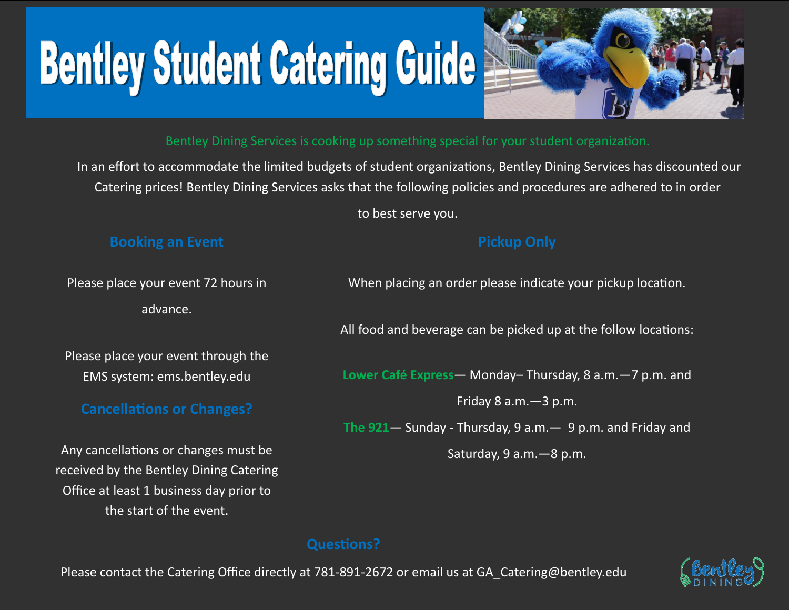Please contact the Catering Office directly at 781-891-2672 or email us at GA Catering@bentley.edu

## **Questions?**

Please place your event 72 hours in advance.

Please place your event through the EMS system: ems.bentley.edu

# **Cancellations or Changes?**

Any cancellations or changes must be received by the Bentley Dining Catering Office at least 1 business day prior to the start of the event.

When placing an order please indicate your pickup location.

**Pickup Only**

All food and beverage can be picked up at the follow locations:

**Lower Café Express**— Monday– Thursday, 8 a.m.—7 p.m. and

Friday 8 a.m.—3 p.m.

**The 921**— Sunday - Thursday, 9 a.m.— 9 p.m. and Friday and

Saturday, 9 a.m.—8 p.m.

# Bentley Dining Services is cooking up something special for your student organization.

In an effort to accommodate the limited budgets of student organizations, Bentley Dining Services has discounted our Catering prices! Bentley Dining Services asks that the following policies and procedures are adhered to in order

to best serve you.

## **Booking an Event**